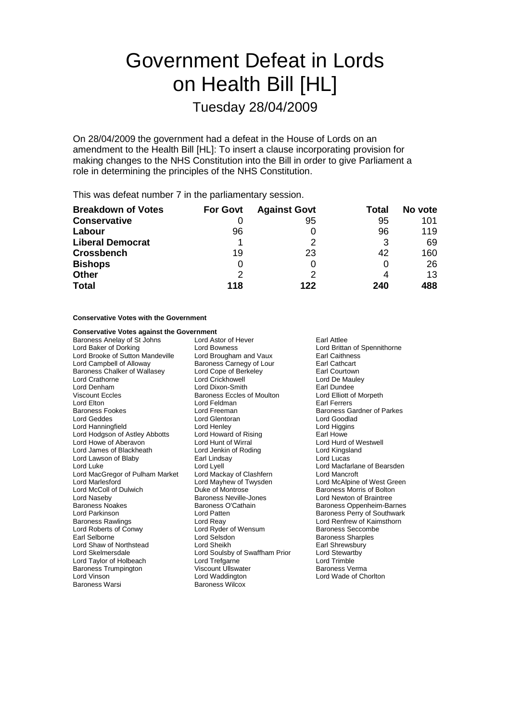# Government Defeat in Lords on Health Bill [HL]

Tuesday 28/04/2009

On 28/04/2009 the government had a defeat in the House of Lords on an amendment to the Health Bill [HL]: To insert a clause incorporating provision for making changes to the NHS Constitution into the Bill in order to give Parliament a role in determining the principles of the NHS Constitution.

This was defeat number 7 in the parliamentary session.

| <b>Breakdown of Votes</b> | <b>For Govt</b> | <b>Against Govt</b> | Total | No vote |
|---------------------------|-----------------|---------------------|-------|---------|
| <b>Conservative</b>       |                 | 95                  | 95    | 101     |
| Labour                    | 96              |                     | 96    | 119     |
| <b>Liberal Democrat</b>   |                 |                     |       | 69      |
| <b>Crossbench</b>         | 19              | 23                  | 42    | 160     |
| <b>Bishops</b>            |                 |                     |       | 26      |
| <b>Other</b>              | $\mathcal{P}$   | ႒                   |       | 13      |
| <b>Total</b>              | 118             | 122                 | 240   | 488     |

### **Conservative Votes with the Government**

| <b>Conservative Votes against the Government</b> |                                   |                           |
|--------------------------------------------------|-----------------------------------|---------------------------|
| Baroness Anelay of St Johns                      | Lord Astor of Hever               | Earl Attlee               |
| Lord Baker of Dorking                            | Lord Bowness                      | Lord Brittan of Spe       |
| Lord Brooke of Sutton Mandeville                 | Lord Brougham and Vaux            | <b>Earl Caithness</b>     |
| Lord Campbell of Alloway                         | Baroness Carnegy of Lour          | <b>Earl Cathcart</b>      |
| Baroness Chalker of Wallasey                     | Lord Cope of Berkeley             | Earl Courtown             |
| Lord Crathorne                                   | Lord Crickhowell                  | Lord De Mauley            |
| Lord Denham                                      | Lord Dixon-Smith                  | Earl Dundee               |
| <b>Viscount Eccles</b>                           | <b>Baroness Eccles of Moulton</b> | Lord Elliott of Morp      |
| Lord Elton                                       | Lord Feldman                      | Earl Ferrers              |
| <b>Baroness Fookes</b>                           | Lord Freeman                      | Baroness Gardner          |
| Lord Geddes                                      | Lord Glentoran                    | Lord Goodlad              |
| Lord Hanningfield                                | Lord Henley                       | Lord Higgins              |
| Lord Hodgson of Astley Abbotts                   | Lord Howard of Rising             | Earl Howe                 |
| Lord Howe of Aberavon                            | Lord Hunt of Wirral               | Lord Hurd of Westy        |
| Lord James of Blackheath                         | Lord Jenkin of Roding             | Lord Kingsland            |
| Lord Lawson of Blaby                             | Earl Lindsay                      | Lord Lucas                |
| Lord Luke                                        | Lord Lyell                        | Lord Macfarlane of        |
| Lord MacGregor of Pulham Market                  | Lord Mackay of Clashfern          | Lord Mancroft             |
| Lord Marlesford                                  | Lord Mayhew of Twysden            | Lord McAlpine of W        |
| Lord McColl of Dulwich                           | Duke of Montrose                  | <b>Baroness Morris of</b> |
| Lord Naseby                                      | Baroness Neville-Jones            | Lord Newton of Bra        |
| <b>Baroness Noakes</b>                           | Baroness O'Cathain                | <b>Baroness Oppenhe</b>   |
| Lord Parkinson                                   | Lord Patten                       | <b>Baroness Perry of</b>  |
| <b>Baroness Rawlings</b>                         | Lord Reay                         | Lord Renfrew of Ka        |
| Lord Roberts of Conwy                            | Lord Ryder of Wensum              | <b>Baroness Seccomb</b>   |
| Earl Selborne                                    | Lord Selsdon                      | <b>Baroness Sharples</b>  |
| Lord Shaw of Northstead                          | Lord Sheikh                       | Earl Shrewsbury           |
| Lord Skelmersdale                                | Lord Soulsby of Swaffham Prior    | Lord Stewartby            |
| Lord Taylor of Holbeach                          | Lord Trefgarne                    | Lord Trimble              |
| <b>Baroness Trumpington</b>                      | Viscount Ullswater                | Baroness Verma            |
| Lord Vinson                                      | Lord Waddington                   | Lord Wade of Chor         |
| Baroness Warsi                                   | <b>Baroness Wilcox</b>            |                           |

ttan of Spennithorne ott of Morpeth s Gardner of Parke<mark>s</mark><br>odlad rd of Westwel<mark>l</mark><br>Igsland icfarlane of Bearsden<br>incroft Alpine of West Green s Morris of Bolton wton of Braintree s Oppenheim-Barnes s Perry of Southwark nfrew of Kaimsthorn s Seccomb<mark>e</mark><br>is Sharples ade of Chorlton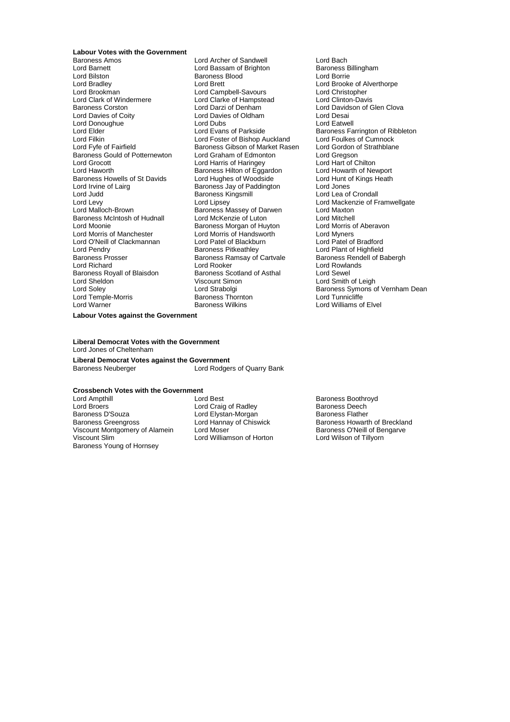# **Labour Votes with the Government**

Lord Barnett **Lord Bassam of Brighton** Baroness B<br>
Lord Bilston **Baroness Blood** Baroness Blood Lord Borrie Lord Bilston Baroness Blood<br>
Lord Bradlev Borrel Lord Brett Lord Bradley Lord Brett Lord Brooke of Alverthorpe Lord Brookman Lord Campbell-Savours Lord Christopher Baroness Corston Lord Darzi of Denham Lord Davidson of Glen Clova Lord Donoughue <sup>2</sup><br>
Lord Elder Lord Evans of Parkside<br>
Lord Evans of Parkside Lord Filkin Lord Foster of Bishop Auckland Lord Foulkes of Cumnock<br>Lord Fyfe of Fairfield Lord Baroness Gibson of Market Rasen Lord Gordon of Strathblane Baroness Gould of Potternewton Lord Graham of Edmonton Lord Gregson<br>
Lord Grocott Lord Harris of Haringey Lord Hart of Chilton Lord Grocott Lord Harris of Haringey Lord Hart of Chilton<br>Lord Harris of Haringey Lord Harris Cord Harris of Equation<br>Lord Hart of Newport Baroness Howells of St Davids<br>
Lord Irvine of Laira<br>
Lord Irvine of Laira<br>
Baroness Jav of Paddington Lord Jones Lord Irvine of Lairg **Baroness Jay of Paddington** Lord Jones<br>
Lord Judd<br>
Lord Judd **Baroness Kingsmill** Lord Lea of Crondall Lord Judd **Baroness Kingsmill**<br>
Lord Levy **Baroness Kingsmill** Baroness McIntosh of Hudnall Lord McKenzie of Luton Lord Mitchell<br>Lord Moonie Cord Caroness Morgan of Huvton Lord Morris of Aberavon Lord Moonie **Baroness Morgan of Huyton**<br>
Lord Morris of Manchester **Baroness Morgan of Handsworth** Lord Morers Lord O'Neill of Clackmannan Lord Patel of Blackbu<br>
Lord Pendry Baroness Pitkeathley Lord Pendry **Communist Communist Communist Communist Communist Communist Communist Communist Communist Communist Communist Communist Communist Communist Communist Communist Communist Communist Communist Communist Communist** Baroness Prosser Baroness Ramsay of Cartvale<br>
Lord Richard<br>
Lord Rooker Baroness Royall of Blaisdon Lord Sheldon Viscount Simon Lord Smith of Leigh

Baroness Amos Lord Archer of Sandwell Lord Bach Lord Clarke of Hampstead<br>Lord Darzi of Denham Lord Davies of Oldham **Lord Desai**<br>
Lord Dubs **Lord Eatwell** Baroness Gibson of Market Rasen Lord Gordon c<br>Lord Graham of Edmonton Lord Gregson Baroness Hilton of Eggardon<br>
Lord Hughes of Woodside<br>
Lord Hunt of Kings Heath **Baroness Massey of Darwen** Lord Morris of Handsworth Lord Myners<br>
Lord Patel of Blackburn Lord Patel of Bradford Lord Rooker<br>
Baroness Scotland of Asthal
Lord Sewel Baroness Thornton<br>Baroness Wilkins Lord Warner **Baroness Wilkins** Lord Williams of Elvel

# Lord Evans of Parkside Baroness Farrington of Ribbleton<br>Lord Evans of Parkside Baroness Farrington of Ribbleton<br>Lord Eilkin Lord Foster of Bishop Auckland Lord Foulkes of Cumnock Lord Levy Lord Lipsey Cord Lord Lord Lord Mackenzie of Framwellgate<br>
Lord Malloch-Brown Caroness Massey of Darwen Lord Maxton Lord Soley **Lord Strabolgi** Baroness Symons of Vernham Dean<br>
Lord Temple-Morris **Baroness Thornton Baroness Thornton** Lord Tunnicliffe

### **Labour Votes against the Government**

### **Liberal Democrat Votes with the Government** Lord Jones of Cheltenham

**Liberal Democrat Votes against the Government** Lord Rodgers of Quarry Bank

## **Crossbench Votes with the Government**

Lord Broers Lord Craig of Radley Baroness Deech Baroness D'Souza<br>
Baroness Greengross<br>
Lord Hannay of Chiswick Viscount Montgomery of Alamein Lord Moser<br>
Lord Williamson of Horton Lord Willson of Tillyorn<br>
Lord Wilson of Tillyorn Baroness Young of Hornsey

Lord Williamson of Horton

Baroness Boothroyd Baroness Howarth of Breckland